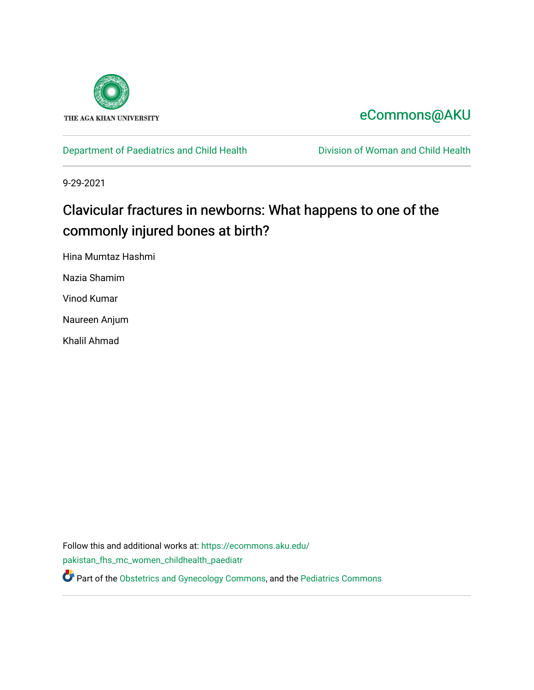

# [eCommons@AKU](https://ecommons.aku.edu/)

[Department of Paediatrics and Child Health](https://ecommons.aku.edu/pakistan_fhs_mc_women_childhealth_paediatr) **Division of Woman and Child Health** 

9-29-2021

# Clavicular fractures in newborns: What happens to one of the commonly injured bones at birth?

Hina Mumtaz Hashmi

Nazia Shamim

Vinod Kumar

Naureen Anjum

Khalil Ahmad

Follow this and additional works at: [https://ecommons.aku.edu/](https://ecommons.aku.edu/pakistan_fhs_mc_women_childhealth_paediatr?utm_source=ecommons.aku.edu%2Fpakistan_fhs_mc_women_childhealth_paediatr%2F1098&utm_medium=PDF&utm_campaign=PDFCoverPages) [pakistan\\_fhs\\_mc\\_women\\_childhealth\\_paediatr](https://ecommons.aku.edu/pakistan_fhs_mc_women_childhealth_paediatr?utm_source=ecommons.aku.edu%2Fpakistan_fhs_mc_women_childhealth_paediatr%2F1098&utm_medium=PDF&utm_campaign=PDFCoverPages)  **P** Part of the [Obstetrics and Gynecology Commons,](http://network.bepress.com/hgg/discipline/693?utm_source=ecommons.aku.edu%2Fpakistan_fhs_mc_women_childhealth_paediatr%2F1098&utm_medium=PDF&utm_campaign=PDFCoverPages) and the Pediatrics Commons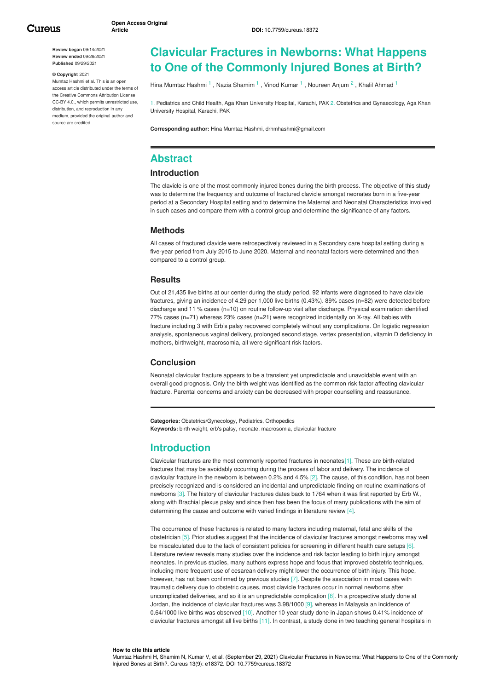**Review began** 09/14/2021 **Review ended** 09/26/2021 **Published** 09/29/2021

#### **© Copyright** 2021

Mumtaz Hashmi et al. This is an open access article distributed under the terms of the Creative Commons Attribution License CC-BY 4.0., which permits unrestricted use, distribution, and reproduction in any medium, provided the original author and source are credited.

# **Clavicular Fractures in Newborns: What Happens to One of the Commonly Injured Bones at Birth?**

Hina [Mumtaz](https://www.cureus.com/users/138311-hina-mumtaz-hashmi) Hashmi <sup>1</sup>, Nazia [Shamim](https://www.cureus.com/users/242063-nazia-shamim) <sup>1</sup>, Vinod [Kumar](https://www.cureus.com/users/242064-vinod-kumar) <sup>1</sup>, [Noureen](https://www.cureus.com/users/270198-naureen-anjum) Anjum <sup>2</sup>, Khalil [Ahmad](https://www.cureus.com/users/130380-khalil-ahmad) <sup>1</sup>

1. Pediatrics and Child Health, Aga Khan University Hospital, Karachi, PAK 2. Obstetrics and Gynaecology, Aga Khan University Hospital, Karachi, PAK

**Corresponding author:** Hina Mumtaz Hashmi, drhmhashmi@gmail.com

# **Abstract**

#### **Introduction**

The clavicle is one of the most commonly injured bones during the birth process. The objective of this study was to determine the frequency and outcome of fractured clavicle amongst neonates born in a five-year period at a Secondary Hospital setting and to determine the Maternal and Neonatal Characteristics involved in such cases and compare them with a control group and determine the significance of any factors.

#### **Methods**

All cases of fractured clavicle were retrospectively reviewed in a Secondary care hospital setting during a five-year period from July 2015 to June 2020. Maternal and neonatal factors were determined and then compared to a control group.

#### **Results**

Out of 21,435 live births at our center during the study period, 92 infants were diagnosed to have clavicle fractures, giving an incidence of 4.29 per 1,000 live births (0.43%). 89% cases (n=82) were detected before discharge and 11 % cases (n=10) on routine follow-up visit after discharge. Physical examination identified 77% cases (n=71) whereas 23% cases (n=21) were recognized incidentally on X-ray. All babies with fracture including 3 with Erb's palsy recovered completely without any complications. On logistic regression analysis, spontaneous vaginal delivery, prolonged second stage, vertex presentation, vitamin D deficiency in mothers, birthweight, macrosomia, all were significant risk factors.

#### **Conclusion**

Neonatal clavicular fracture appears to be a transient yet unpredictable and unavoidable event with an overall good prognosis. Only the birth weight was identified as the common risk factor affecting clavicular fracture. Parental concerns and anxiety can be decreased with proper counselling and reassurance.

**Categories:** Obstetrics/Gynecology, Pediatrics, Orthopedics **Keywords:** birth weight, erb's palsy, neonate, macrosomia, clavicular fracture

### **Introduction**

Clavicular fractures are the most commonly reported fractures in neonates[1]. These are birth-related fractures that may be avoidably occurring during the process of labor and delivery. The incidence of clavicular fracture in the newborn is between 0.2% and 4.5% [2]. The cause, of this condition, has not been precisely recognized and is considered an incidental and unpredictable finding on routine examinations of newborns [3]. The history of clavicular fractures dates back to 1764 when it was first reported by Erb W., along with Brachial plexus palsy and since then has been the focus of many publications with the aim of determining the cause and outcome with varied findings in literature review [4].

The occurrence of these fractures is related to many factors including maternal, fetal and skills of the obstetrician [5]. Prior studies suggest that the incidence of clavicular fractures amongst newborns may well be miscalculated due to the lack of consistent policies for screening in different health care setups [6]. Literature review reveals many studies over the incidence and risk factor leading to birth injury amongst neonates. In previous studies, many authors express hope and focus that improved obstetric techniques, including more frequent use of cesarean delivery might lower the occurrence of birth injury. This hope, however, has not been confirmed by previous studies [7]. Despite the association in most cases with traumatic delivery due to obstetric causes, most clavicle fractures occur in normal newborns after uncomplicated deliveries, and so it is an unpredictable complication [8]. In a prospective study done at Jordan, the incidence of clavicular fractures was 3.98/1000 [9], whereas in Malaysia an incidence of 0.64/1000 live births was observed [10]. Another 10-year study done in Japan shows 0.41% incidence of clavicular fractures amongst all live births [11]. In contrast, a study done in two teaching general hospitals in

#### **How to cite this article**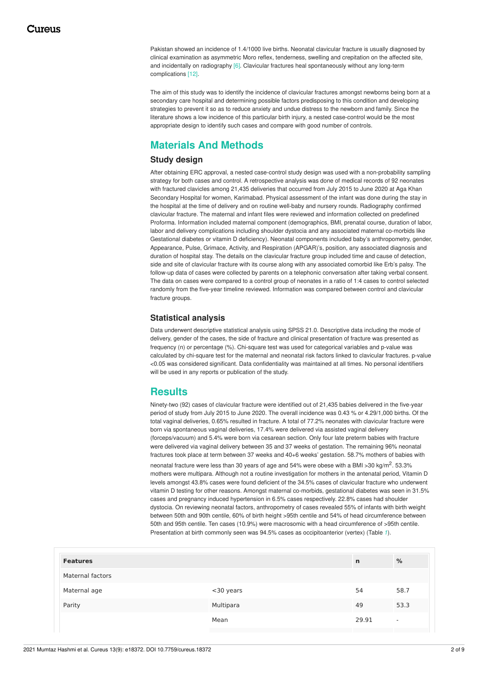<span id="page-2-0"></span>Pakistan showed an incidence of 1.4/1000 live births. Neonatal clavicular fracture is usually diagnosed by clinical examination as asymmetric Moro reflex, tenderness, swelling and crepitation on the affected site, and incidentally on radiography [6]. Clavicular fractures heal spontaneously without any long-term complications [12].

The aim of this study was to identify the incidence of clavicular fractures amongst newborns being born at a secondary care hospital and determining possible factors predisposing to this condition and developing strategies to prevent it so as to reduce anxiety and undue distress to the newborn and family. Since the literature shows a low incidence of this particular birth injury, a nested case-control would be the most appropriate design to identify such cases and compare with good number of controls.

# **Materials And Methods**

#### **Study design**

After obtaining ERC approval, a nested case-control study design was used with a non-probability sampling strategy for both cases and control. A retrospective analysis was done of medical records of 92 neonates with fractured clavicles among 21,435 deliveries that occurred from July 2015 to June 2020 at Aga Khan Secondary Hospital for women, Karimabad. Physical assessment of the infant was done during the stay in the hospital at the time of delivery and on routine well-baby and nursery rounds. Radiography confirmed clavicular fracture. The maternal and infant files were reviewed and information collected on predefined Proforma. Information included maternal component (demographics, BMI, prenatal course, duration of labor, labor and delivery complications including shoulder dystocia and any associated maternal co-morbids like Gestational diabetes or vitamin D deficiency). Neonatal components included baby's anthropometry, gender, Appearance, Pulse, Grimace, Activity, and Respiration (APGAR)'s, position, any associated diagnosis and duration of hospital stay. The details on the clavicular fracture group included time and cause of detection, side and site of clavicular fracture with its course along with any associated comorbid like Erb's palsy. The follow-up data of cases were collected by parents on a telephonic conversation after taking verbal consent. The data on cases were compared to a control group of neonates in a ratio of 1:4 cases to control selected randomly from the five-year timeline reviewed. Information was compared between control and clavicular fracture groups.

#### **Statistical analysis**

Data underwent descriptive statistical analysis using SPSS 21.0. Descriptive data including the mode of delivery, gender of the cases, the side of fracture and clinical presentation of fracture was presented as frequency (n) or percentage (%). Chi-square test was used for categorical variables and p-value was calculated by chi-square test for the maternal and neonatal risk factors linked to clavicular fractures. p-value <0.05 was considered significant. Data confidentiality was maintained at all times. No personal identifiers will be used in any reports or publication of the study.

# **Results**

Ninety-two (92) cases of clavicular fracture were identified out of 21,435 babies delivered in the five-year period of study from July 2015 to June 2020. The overall incidence was 0.43 % or 4.29/1,000 births. Of the total vaginal deliveries, 0.65% resulted in fracture. A total of 77.2% neonates with clavicular fracture were born via spontaneous vaginal deliveries, 17.4% were delivered via assisted vaginal delivery (forceps/vacuum) and 5.4% were born via cesarean section. Only four late preterm babies with fracture were delivered via vaginal delivery between 35 and 37 weeks of gestation. The remaining 96% neonatal fractures took place at term between 37 weeks and 40+6 weeks' gestation. 58.7% mothers of babies with neonatal fracture were less than 30 years of age and 54% were obese with a BMI >30 kg/m<sup>2</sup>. 53.3% mothers were multipara. Although not a routine investigation for mothers in the antenatal period, Vitamin D levels amongst 43.8% cases were found deficient of the 34.5% cases of clavicular fracture who underwent vitamin D testing for other reasons. Amongst maternal co-morbids, gestational diabetes was seen in 31.5% cases and pregnancy induced hypertension in 6.5% cases respectively. 22.8% cases had shoulder dystocia. On reviewing neonatal factors, anthropometry of cases revealed 55% of infants with birth weight between 50th and 90th centile, 60% of birth height >95th centile and 54% of head circumference between 50th and 95th centile. Ten cases (10.9%) were macrosomic with a head circumference of >95th centile. Presentation at birth commonly seen was 94.5% cases as occipitoanterior (vertex) (Table *[1](#page-2-0)*).

|           | $\mathsf{n}$ | %                        |
|-----------|--------------|--------------------------|
|           |              |                          |
| <30 years | 54           | 58.7                     |
| Multipara | 49           | 53.3                     |
| Mean      | 29.91        | $\overline{\phantom{a}}$ |
|           |              |                          |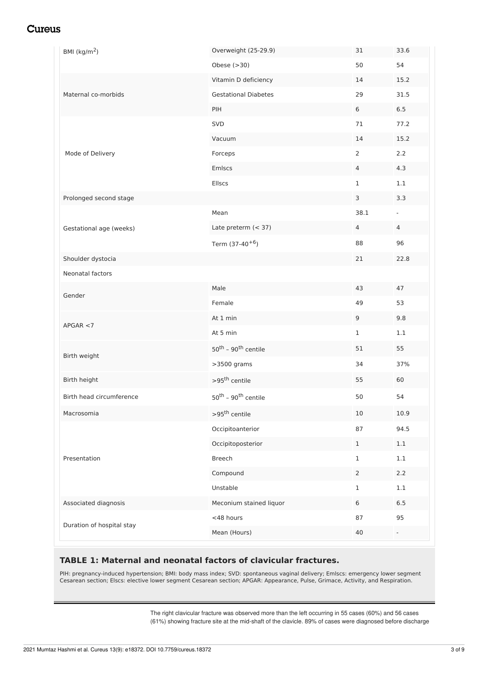<span id="page-3-0"></span>

| BMI $(kg/m2)$             | Overweight (25-29.9)                        | 31             | 33.6           |
|---------------------------|---------------------------------------------|----------------|----------------|
|                           | Obese $(>30)$                               | 50             | 54             |
|                           | Vitamin D deficiency                        | 14             | 15.2           |
| Maternal co-morbids       | <b>Gestational Diabetes</b>                 | 29             | 31.5           |
|                           | PIH                                         | 6              | 6.5            |
|                           | SVD                                         | 71             | 77.2           |
|                           | Vacuum                                      | 14             | 15.2           |
| Mode of Delivery          | Forceps                                     | $\overline{2}$ | 2.2            |
|                           | Emlscs                                      | 4              | 4.3            |
|                           | Ellscs                                      | 1              | 1.1            |
| Prolonged second stage    |                                             | 3              | 3.3            |
|                           | Mean                                        | 38.1           | $\blacksquare$ |
| Gestational age (weeks)   | Late preterm (< 37)                         | $\overline{4}$ | 4              |
|                           | Term (37-40 <sup>+6</sup> )                 | 88             | 96             |
| Shoulder dystocia         |                                             | 21             | 22.8           |
| Neonatal factors          |                                             |                |                |
| Gender                    | Male                                        | 43             | 47             |
|                           | Female                                      | 49             | 53             |
| APGAR < 7                 | At 1 min                                    | 9              | 9.8            |
|                           | At 5 min                                    | $\mathbf{1}$   | 1.1            |
| Birth weight              | $50^{\text{th}}$ - 90 <sup>th</sup> centile | 51             | 55             |
|                           | >3500 grams                                 | 34             | 37%            |
| Birth height              | $>95^{\text{th}}$ centile                   | 55             | 60             |
| Birth head circumference  | 50 <sup>th</sup> - 90 <sup>th</sup> centile | 50             | 54             |
| Macrosomia                | $>95^{\text{th}}$ centile                   | $10\,$         | 10.9           |
|                           | Occipitoanterior                            | 87             | 94.5           |
| Presentation              | Occipitoposterior                           | $\mathbf{1}$   | 1.1            |
|                           | <b>Breech</b>                               | $\mathbf 1$    | 1.1            |
|                           | Compound                                    | $\mathbf{2}$   | 2.2            |
|                           | Unstable                                    | 1              | 1.1            |
| Associated diagnosis      |                                             | 6              | 6.5            |
|                           | Meconium stained liquor                     |                |                |
| Duration of hospital stay | <48 hours                                   | 87             | 95             |

### **TABLE 1: Maternal and neonatal factors of clavicular fractures.**

PIH: pregnancy-induced hypertension; BMI: body mass index; SVD: spontaneous vaginal delivery; Emlscs: emergency lower segment Cesarean section; Elscs: elective lower segment Cesarean section; APGAR: Appearance, Pulse, Grimace, Activity, and Respiration.

> The right clavicular fracture was observed more than the left occurring in 55 cases (60%) and 56 cases (61%) showing fracture site at the mid-shaft of the clavicle. 89% of cases were diagnosed before discharge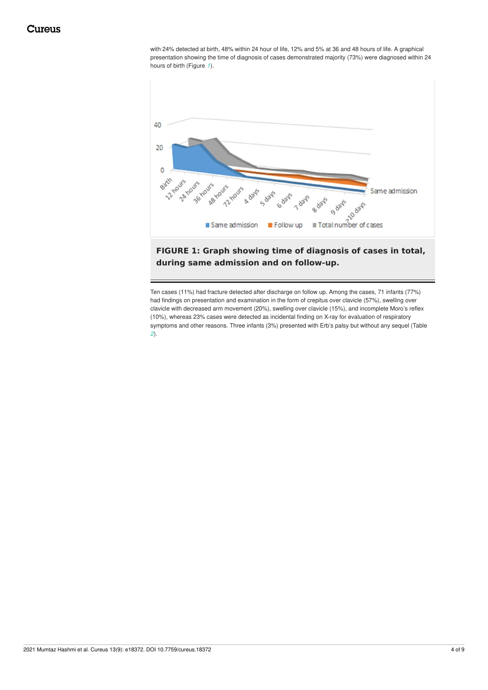with 24% detected at birth, 48% within 24 hour of life, 12% and 5% at 36 and 48 hours of life. A graphical presentation showing the time of diagnosis of cases demonstrated majority (73%) were diagnosed within 24 hours of birth (Figure *[1](#page-3-0)*).

<span id="page-4-0"></span>

**FIGURE 1: Graph showing time of diagnosis of cases in total, during same admission and on follow-up.**

Ten cases (11%) had fracture detected after discharge on follow up. Among the cases, 71 infants (77%) had findings on presentation and examination in the form of crepitus over clavicle (57%), swelling over clavicle with decreased arm movement (20%), swelling over clavicle (15%), and incomplete Moro's reflex (10%), whereas 23% cases were detected as incidental finding on X-ray for evaluation of respiratory symptoms and other reasons. Three infants (3%) presented with Erb's palsy but without any sequel (Table *[2](#page-4-0)*).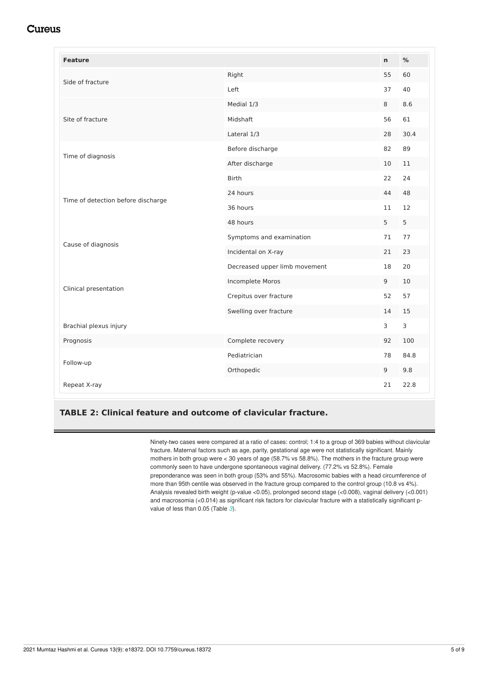<span id="page-5-0"></span>

| <b>Feature</b>                     |                               | $\mathbf n$ | %    |
|------------------------------------|-------------------------------|-------------|------|
| Side of fracture                   | Right                         | 55          | 60   |
|                                    | Left                          | 37          | 40   |
|                                    | Medial 1/3                    | 8           | 8.6  |
| Site of fracture                   | Midshaft                      | 56          | 61   |
|                                    | Lateral 1/3                   | 28          | 30.4 |
| Time of diagnosis                  | Before discharge              | 82          | 89   |
|                                    | After discharge               | 10          | 11   |
|                                    | <b>Birth</b>                  | 22          | 24   |
| Time of detection before discharge | 24 hours                      | 44          | 48   |
|                                    | 36 hours                      | 11          | 12   |
|                                    | 48 hours                      | 5           | 5    |
| Cause of diagnosis                 | Symptoms and examination      | 71          | 77   |
|                                    | Incidental on X-ray           | 21          | 23   |
|                                    | Decreased upper limb movement | 18          | 20   |
| Clinical presentation              | Incomplete Moros              | 9           | 10   |
|                                    | Crepitus over fracture        | 52          | 57   |
|                                    | Swelling over fracture        | 14          | 15   |
| Brachial plexus injury             |                               | 3           | 3    |
| Prognosis                          | Complete recovery             | 92          | 100  |
| Follow-up                          | Pediatrician                  | 78          | 84.8 |
|                                    | Orthopedic                    | 9           | 9.8  |
| Repeat X-ray                       |                               | 21          | 22.8 |

#### **TABLE 2: Clinical feature and outcome of clavicular fracture.**

Ninety-two cases were compared at a ratio of cases: control; 1:4 to a group of 369 babies without clavicular fracture. Maternal factors such as age, parity, gestational age were not statistically significant. Mainly mothers in both group were < 30 years of age (58.7% vs 58.8%). The mothers in the fracture group were commonly seen to have undergone spontaneous vaginal delivery. (77.2% vs 52.8%). Female preponderance was seen in both group (53% and 55%). Macrosomic babies with a head circumference of more than 95th centile was observed in the fracture group compared to the control group (10.8 vs 4%). Analysis revealed birth weight (p-value <0.05), prolonged second stage (<0.008), vaginal delivery (<0.001) and macrosomia (<0.014) as significant risk factors for clavicular fracture with a statistically significant pvalue of less than 0.05 (Table *[3](#page-5-0)*).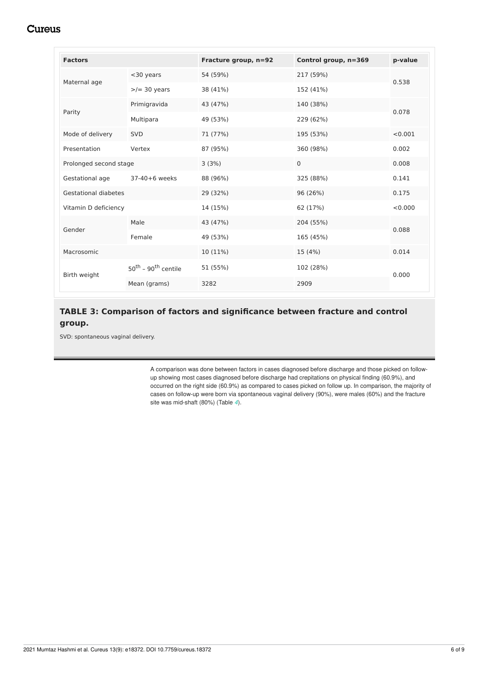<span id="page-6-0"></span>

| <b>Factors</b>              |                                             | Fracture group, n=92 | Control group, n=369 | p-value |  |
|-----------------------------|---------------------------------------------|----------------------|----------------------|---------|--|
| Maternal age                | $<$ 30 years                                | 54 (59%)             | 217 (59%)            | 0.538   |  |
|                             | $>$ /= 30 years                             | 38 (41%)             | 152 (41%)            |         |  |
| Parity                      | Primigravida                                | 43 (47%)             | 140 (38%)            |         |  |
|                             | Multipara                                   | 49 (53%)             | 229 (62%)            | 0.078   |  |
| Mode of delivery            | <b>SVD</b>                                  | 71 (77%)             | 195 (53%)            | < 0.001 |  |
| Presentation                | Vertex                                      | 87 (95%)             | 360 (98%)            | 0.002   |  |
| Prolonged second stage      |                                             | 3(3%)                | $\Omega$             | 0.008   |  |
| Gestational age             | 37-40+6 weeks                               | 88 (96%)             | 325 (88%)            | 0.141   |  |
| <b>Gestational diabetes</b> |                                             | 29 (32%)             | 96 (26%)             | 0.175   |  |
| Vitamin D deficiency        |                                             | 14 (15%)             | 62 (17%)             | < 0.000 |  |
| Gender                      | Male                                        | 43 (47%)             | 204 (55%)            | 0.088   |  |
|                             | Female                                      | 49 (53%)             | 165 (45%)            |         |  |
| Macrosomic                  |                                             | 10 (11%)             | 15 (4%)              | 0.014   |  |
| Birth weight                | 50 <sup>th</sup> - 90 <sup>th</sup> centile | 51 (55%)             | 102 (28%)            | 0.000   |  |
|                             | Mean (grams)                                | 3282                 | 2909                 |         |  |

## **TABLE 3: Comparison of factors and significance between fracture and control group.**

SVD: spontaneous vaginal delivery.

A comparison was done between factors in cases diagnosed before discharge and those picked on followup showing most cases diagnosed before discharge had crepitations on physical finding (60.9%), and occurred on the right side (60.9%) as compared to cases picked on follow up. In comparison, the majority of cases on follow-up were born via spontaneous vaginal delivery (90%), were males (60%) and the fracture site was mid-shaft (80%) (Table *[4](#page-6-0)*).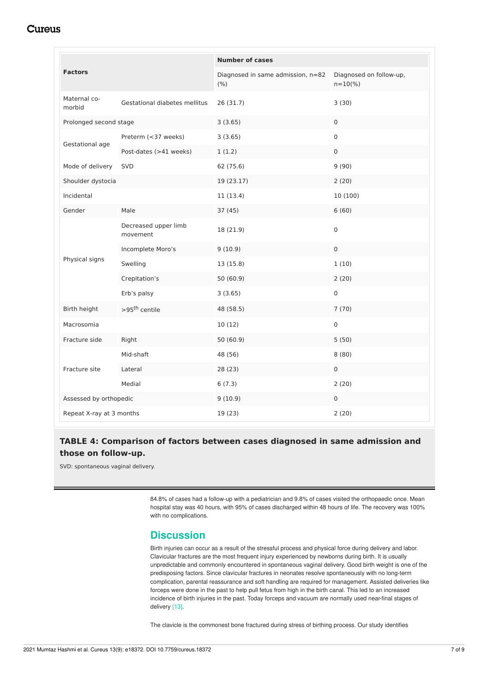| <b>Factors</b>           |                                  | <b>Number of cases</b>                    |                                         |  |
|--------------------------|----------------------------------|-------------------------------------------|-----------------------------------------|--|
|                          |                                  | Diagnosed in same admission, n=82<br>(% ) | Diagnosed on follow-up,<br>$n = 10(\%)$ |  |
| Maternal co-<br>morbid   | Gestational diabetes mellitus    | 26 (31.7)                                 | 3(30)                                   |  |
| Prolonged second stage   |                                  | 3(3.65)                                   | $\mathbf 0$                             |  |
| Gestational age          | Preterm (<37 weeks)              | 3(3.65)                                   | $\mathbf 0$                             |  |
|                          | Post-dates (>41 weeks)           | 1(1.2)                                    | $\mathsf{O}\xspace$                     |  |
| Mode of delivery         | SVD                              | 62 (75.6)                                 | 9(90)                                   |  |
| Shoulder dystocia        |                                  | 19 (23.17)                                | 2(20)                                   |  |
| Incidental               |                                  | 11 (13.4)                                 | 10 (100)                                |  |
| Gender                   | Male                             | 37 (45)                                   | 6(60)                                   |  |
|                          | Decreased upper limb<br>movement | 18 (21.9)                                 | $\mathsf{O}\xspace$                     |  |
|                          | Incomplete Moro's                | 9(10.9)                                   | $\mathsf{O}\xspace$                     |  |
| Physical signs           | Swelling                         | 13 (15.8)                                 | 1(10)                                   |  |
|                          | Crepitation's                    | 50(60.9)                                  | 2(20)                                   |  |
|                          | Erb's palsy                      | 3(3.65)                                   | $\mathsf{O}\xspace$                     |  |
| Birth height             | >95 <sup>th</sup> centile        | 48 (58.5)                                 | 7(70)                                   |  |
| Macrosomia               |                                  | 10(12)                                    | $\mathsf{O}\xspace$                     |  |
| Fracture side            | Right                            | 50 (60.9)                                 | 5(50)                                   |  |
| Fracture site            | Mid-shaft                        | 48 (56)                                   | 8(80)                                   |  |
|                          | Lateral                          | 28 (23)                                   | $\mathsf{O}\xspace$                     |  |
|                          | Medial                           | 6(7.3)                                    | 2(20)                                   |  |
| Assessed by orthopedic   |                                  | 9(10.9)                                   | $\mathbf 0$                             |  |
| Repeat X-ray at 3 months |                                  | 19 (23)                                   | 2(20)                                   |  |

### **TABLE 4: Comparison of factors between cases diagnosed in same admission and those on follow-up.**

SVD: spontaneous vaginal delivery.

84.8% of cases had a follow-up with a pediatrician and 9.8% of cases visited the orthopaedic once. Mean hospital stay was 40 hours, with 95% of cases discharged within 48 hours of life. The recovery was 100% with no complications.

### **Discussion**

Birth injuries can occur as a result of the stressful process and physical force during delivery and labor. Clavicular fractures are the most frequent injury experienced by newborns during birth. It is usually unpredictable and commonly encountered in spontaneous vaginal delivery. Good birth weight is one of the predisposing factors. Since clavicular fractures in neonates resolve spontaneously with no long-term complication, parental reassurance and soft handling are required for management. Assisted deliveries like forceps were done in the past to help pull fetus from high in the birth canal. This led to an increased incidence of birth injuries in the past. Today forceps and vacuum are normally used near-final stages of delivery [13].

The clavicle is the commonest bone fractured during stress of birthing process. Our study identifies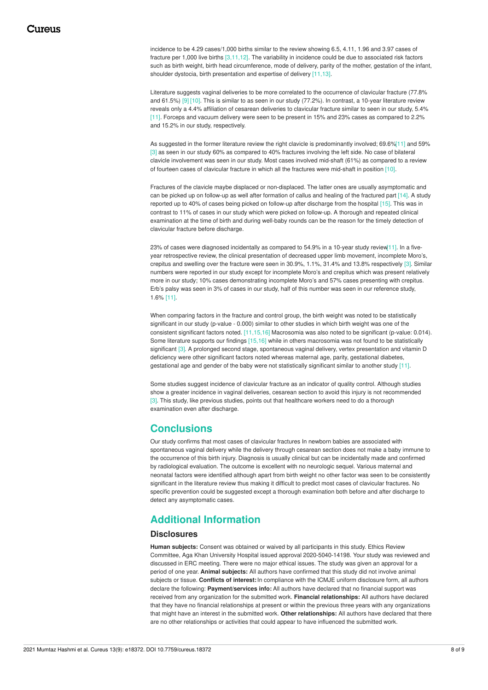incidence to be 4.29 cases/1,000 births similar to the review showing 6.5, 4.11, 1.96 and 3.97 cases of fracture per 1,000 live births [3,11,12]. The variability in incidence could be due to associated risk factors such as birth weight, birth head circumference, mode of delivery, parity of the mother, gestation of the infant, shoulder dystocia, birth presentation and expertise of delivery [11,13].

Literature suggests vaginal deliveries to be more correlated to the occurrence of clavicular fracture (77.8% and 61.5%) [9] [10]. This is similar to as seen in our study (77.2%). In contrast, a 10-year literature review reveals only a 4.4% affiliation of cesarean deliveries to clavicular fracture similar to seen in our study, 5.4% [11]. Forceps and vacuum delivery were seen to be present in 15% and 23% cases as compared to 2.2% and 15.2% in our study, respectively.

As suggested in the former literature review the right clavicle is predominantly involved; 69.6%[11] and 59% [3] as seen in our study 60% as compared to 40% fractures involving the left side. No case of bilateral clavicle involvement was seen in our study. Most cases involved mid-shaft (61%) as compared to a review of fourteen cases of clavicular fracture in which all the fractures were mid-shaft in position [10].

Fractures of the clavicle maybe displaced or non-displaced. The latter ones are usually asymptomatic and can be picked up on follow-up as well after formation of callus and healing of the fractured part [14]. A study reported up to 40% of cases being picked on follow-up after discharge from the hospital [15]. This was in contrast to 11% of cases in our study which were picked on follow-up. A thorough and repeated clinical examination at the time of birth and during well-baby rounds can be the reason for the timely detection of clavicular fracture before discharge.

23% of cases were diagnosed incidentally as compared to 54.9% in a 10-year study review[11]. In a fiveyear retrospective review, the clinical presentation of decreased upper limb movement, incomplete Moro's, crepitus and swelling over the fracture were seen in 30.9%, 1.1%, 31.4% and 13.8% respectively [3]. Similar numbers were reported in our study except for incomplete Moro's and crepitus which was present relatively more in our study; 10% cases demonstrating incomplete Moro's and 57% cases presenting with crepitus. Erb's palsy was seen in 3% of cases in our study, half of this number was seen in our reference study, 1.6% [11].

When comparing factors in the fracture and control group, the birth weight was noted to be statistically significant in our study (p-value - 0.000) similar to other studies in which birth weight was one of the consistent significant factors noted. [11,15,16] Macrosomia was also noted to be significant (p-value: 0.014). Some literature supports our findings [15,16] while in others macrosomia was not found to be statistically significant [3]. A prolonged second stage, spontaneous vaginal delivery, vertex presentation and vitamin D deficiency were other significant factors noted whereas maternal age, parity, gestational diabetes, gestational age and gender of the baby were not statistically significant similar to another study [11].

Some studies suggest incidence of clavicular fracture as an indicator of quality control. Although studies show a greater incidence in vaginal deliveries, cesarean section to avoid this injury is not recommended [3]. This study, like previous studies, points out that healthcare workers need to do a thorough examination even after discharge.

## **Conclusions**

Our study confirms that most cases of clavicular fractures In newborn babies are associated with spontaneous vaginal delivery while the delivery through cesarean section does not make a baby immune to the occurrence of this birth injury. Diagnosis is usually clinical but can be incidentally made and confirmed by radiological evaluation. The outcome is excellent with no neurologic sequel. Various maternal and neonatal factors were identified although apart from birth weight no other factor was seen to be consistently significant in the literature review thus making it difficult to predict most cases of clavicular fractures. No specific prevention could be suggested except a thorough examination both before and after discharge to detect any asymptomatic cases.

# **Additional Information**

#### **Disclosures**

**Human subjects:** Consent was obtained or waived by all participants in this study. Ethics Review Committee, Aga Khan University Hospital issued approval 2020-5040-14198. Your study was reviewed and discussed in ERC meeting. There were no major ethical issues. The study was given an approval for a period of one year. **Animal subjects:** All authors have confirmed that this study did not involve animal subjects or tissue. **Conflicts of interest:**In compliance with the ICMJE uniform disclosure form, all authors declare the following: **Payment/services info:** All authors have declared that no financial support was received from any organization for the submitted work. **Financial relationships:** All authors have declared that they have no financial relationships at present or within the previous three years with any organizations that might have an interest in the submitted work. **Other relationships:** All authors have declared that there are no other relationships or activities that could appear to have influenced the submitted work.